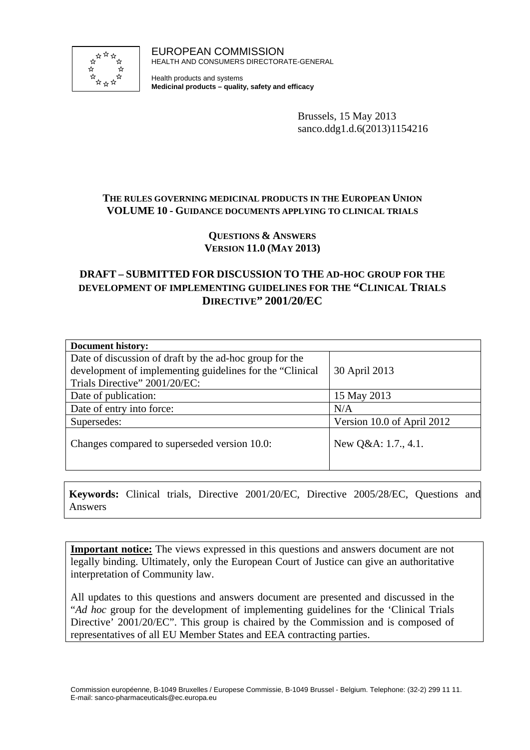

EUROPEAN COMMISSION HEALTH AND CONSUMERS DIRECTORATE-GENERAL

Health products and systems **Medicinal products – quality, safety and efficacy**

> Brussels, 15 May 2013 sanco.ddg1.d.6(2013)1154216

# **THE RULES GOVERNING MEDICINAL PRODUCTS IN THE EUROPEAN UNION VOLUME 10 - GUIDANCE DOCUMENTS APPLYING TO CLINICAL TRIALS**

## **QUESTIONS & ANSWERS VERSION 11.0 (MAY 2013)**

# **DRAFT – SUBMITTED FOR DISCUSSION TO THE AD-HOC GROUP FOR THE DEVELOPMENT OF IMPLEMENTING GUIDELINES FOR THE "CLINICAL TRIALS DIRECTIVE" 2001/20/EC**

| <b>Document history:</b>                                 |                            |  |  |
|----------------------------------------------------------|----------------------------|--|--|
| Date of discussion of draft by the ad-hoc group for the  |                            |  |  |
| development of implementing guidelines for the "Clinical | 30 April 2013              |  |  |
| Trials Directive" 2001/20/EC:                            |                            |  |  |
| Date of publication:                                     | 15 May 2013                |  |  |
| Date of entry into force:                                | N/A                        |  |  |
| Supersedes:                                              | Version 10.0 of April 2012 |  |  |
| Changes compared to superseded version 10.0:             | New $Q&A: 1.7., 4.1.$      |  |  |

**Keywords:** Clinical trials, Directive 2001/20/EC, Directive 2005/28/EC, Questions and Answers

**Important notice:** The views expressed in this questions and answers document are not legally binding. Ultimately, only the European Court of Justice can give an authoritative interpretation of Community law.

All updates to this questions and answers document are presented and discussed in the "*Ad hoc* group for the development of implementing guidelines for the 'Clinical Trials Directive' 2001/20/EC". This group is chaired by the Commission and is composed of representatives of all EU Member States and EEA contracting parties.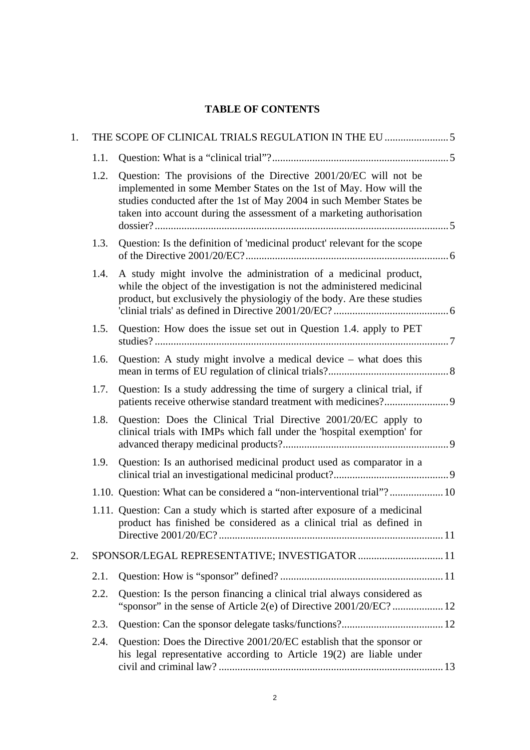# **TABLE OF CONTENTS**

| 1. |      |                                                                                                                                                                                                                                                                                        |  |  |  |
|----|------|----------------------------------------------------------------------------------------------------------------------------------------------------------------------------------------------------------------------------------------------------------------------------------------|--|--|--|
|    | 1.1. |                                                                                                                                                                                                                                                                                        |  |  |  |
|    | 1.2. | Question: The provisions of the Directive 2001/20/EC will not be<br>implemented in some Member States on the 1st of May. How will the<br>studies conducted after the 1st of May 2004 in such Member States be<br>taken into account during the assessment of a marketing authorisation |  |  |  |
|    | 1.3. | Question: Is the definition of 'medicinal product' relevant for the scope                                                                                                                                                                                                              |  |  |  |
|    | 1.4. | A study might involve the administration of a medicinal product,<br>while the object of the investigation is not the administered medicinal<br>product, but exclusively the physiologiy of the body. Are these studies                                                                 |  |  |  |
|    | 1.5. | Question: How does the issue set out in Question 1.4. apply to PET                                                                                                                                                                                                                     |  |  |  |
|    | 1.6. | Question: A study might involve a medical device $-$ what does this                                                                                                                                                                                                                    |  |  |  |
|    | 1.7. | Question: Is a study addressing the time of surgery a clinical trial, if<br>patients receive otherwise standard treatment with medicines?9                                                                                                                                             |  |  |  |
|    | 1.8. | Question: Does the Clinical Trial Directive 2001/20/EC apply to<br>clinical trials with IMPs which fall under the 'hospital exemption' for                                                                                                                                             |  |  |  |
|    | 1.9. | Question: Is an authorised medicinal product used as comparator in a                                                                                                                                                                                                                   |  |  |  |
|    |      | 1.10. Question: What can be considered a "non-interventional trial"? 10                                                                                                                                                                                                                |  |  |  |
|    |      | 1.11. Question: Can a study which is started after exposure of a medicinal<br>product has finished be considered as a clinical trial as defined in                                                                                                                                     |  |  |  |
| 2. |      | SPONSOR/LEGAL REPRESENTATIVE; INVESTIGATOR  11                                                                                                                                                                                                                                         |  |  |  |
|    | 2.1. |                                                                                                                                                                                                                                                                                        |  |  |  |
|    | 2.2. | Question: Is the person financing a clinical trial always considered as                                                                                                                                                                                                                |  |  |  |
|    | 2.3. |                                                                                                                                                                                                                                                                                        |  |  |  |
|    | 2.4. | Question: Does the Directive 2001/20/EC establish that the sponsor or<br>his legal representative according to Article 19(2) are liable under                                                                                                                                          |  |  |  |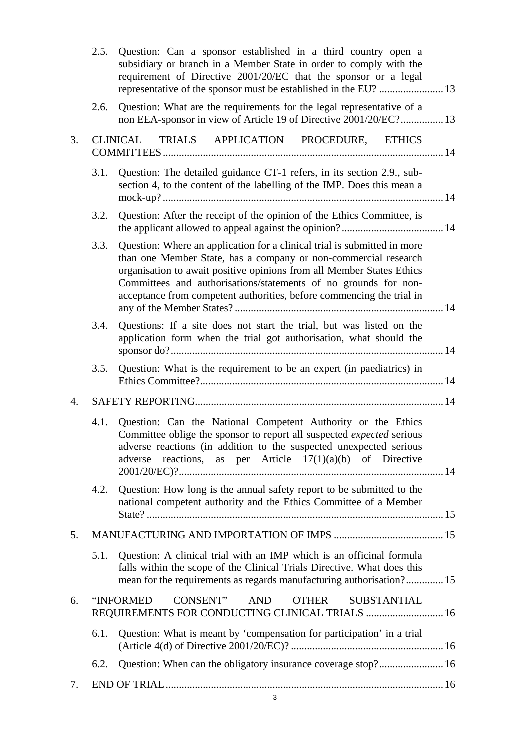|    | 2.5. | Question: Can a sponsor established in a third country open a<br>subsidiary or branch in a Member State in order to comply with the<br>requirement of Directive 2001/20/EC that the sponsor or a legal<br>representative of the sponsor must be established in the EU?  13                                                                                       |  |  |
|----|------|------------------------------------------------------------------------------------------------------------------------------------------------------------------------------------------------------------------------------------------------------------------------------------------------------------------------------------------------------------------|--|--|
|    | 2.6. | Question: What are the requirements for the legal representative of a<br>non EEA-sponsor in view of Article 19 of Directive 2001/20/EC? 13                                                                                                                                                                                                                       |  |  |
| 3. |      | CLINICAL<br>TRIALS APPLICATION PROCEDURE, ETHICS                                                                                                                                                                                                                                                                                                                 |  |  |
|    | 3.1. | Question: The detailed guidance CT-1 refers, in its section 2.9., sub-<br>section 4, to the content of the labelling of the IMP. Does this mean a                                                                                                                                                                                                                |  |  |
|    | 3.2. | Question: After the receipt of the opinion of the Ethics Committee, is                                                                                                                                                                                                                                                                                           |  |  |
|    | 3.3. | Question: Where an application for a clinical trial is submitted in more<br>than one Member State, has a company or non-commercial research<br>organisation to await positive opinions from all Member States Ethics<br>Committees and authorisations/statements of no grounds for non-<br>acceptance from competent authorities, before commencing the trial in |  |  |
|    | 3.4. | Questions: If a site does not start the trial, but was listed on the<br>application form when the trial got authorisation, what should the                                                                                                                                                                                                                       |  |  |
|    | 3.5. | Question: What is the requirement to be an expert (in paediatrics) in                                                                                                                                                                                                                                                                                            |  |  |
| 4. |      |                                                                                                                                                                                                                                                                                                                                                                  |  |  |
|    | 4.1. | Question: Can the National Competent Authority or the Ethics<br>Committee oblige the sponsor to report all suspected <i>expected</i> serious<br>adverse reactions (in addition to the suspected unexpected serious<br>reactions, as per Article $17(1)(a)(b)$ of Directive<br>adverse                                                                            |  |  |
|    | 4.2. | Question: How long is the annual safety report to be submitted to the<br>national competent authority and the Ethics Committee of a Member                                                                                                                                                                                                                       |  |  |
| 5. |      |                                                                                                                                                                                                                                                                                                                                                                  |  |  |
|    | 5.1. | Question: A clinical trial with an IMP which is an officinal formula<br>falls within the scope of the Clinical Trials Directive. What does this<br>mean for the requirements as regards manufacturing authorisation? 15                                                                                                                                          |  |  |
| 6. |      | "INFORMED<br>CONSENT"<br>AND<br><b>OTHER</b><br><b>SUBSTANTIAL</b><br>REQUIREMENTS FOR CONDUCTING CLINICAL TRIALS  16                                                                                                                                                                                                                                            |  |  |
|    | 6.1. | Question: What is meant by 'compensation for participation' in a trial                                                                                                                                                                                                                                                                                           |  |  |
|    | 6.2. | Question: When can the obligatory insurance coverage stop? 16                                                                                                                                                                                                                                                                                                    |  |  |
| 7. |      |                                                                                                                                                                                                                                                                                                                                                                  |  |  |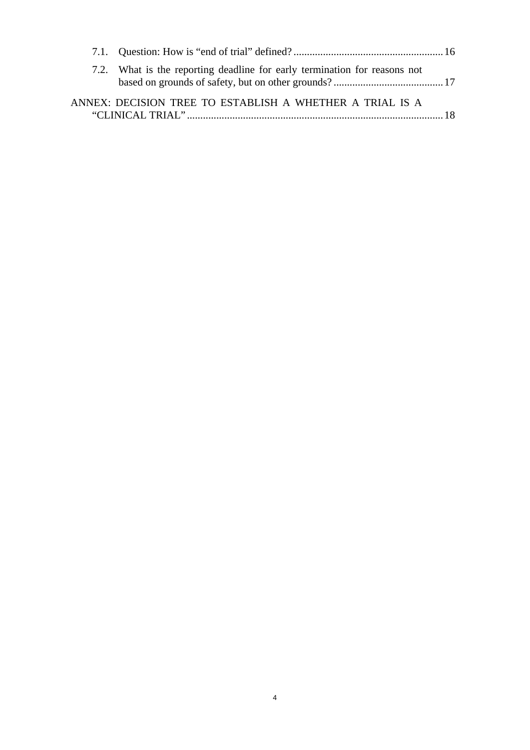| 7.2. What is the reporting deadline for early termination for reasons not |  |
|---------------------------------------------------------------------------|--|
| ANNEX: DECISION TREE TO ESTABLISH A WHETHER A TRIAL IS A                  |  |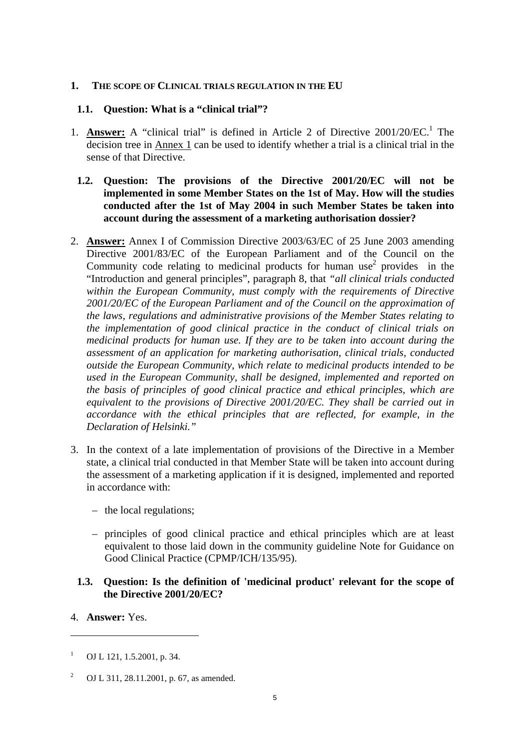#### <span id="page-4-1"></span><span id="page-4-0"></span>**1. THE SCOPE OF CLINICAL TRIALS REGULATION IN THE EU**

### **1.1. Question: What is a "clinical trial"?**

- 1. **Answer:** A "clinical trial" is defined in Article 2 of Directive 2001/20/EC.<sup>1</sup> The decision tree in Annex 1 can be used to identify whether a trial is a clinical trial in the sense of that Directive.
- <span id="page-4-2"></span>**1.2. Question: The provisions of the Directive 2001/20/EC will not be implemented in some Member States on the 1st of May. How will the studies conducted after the 1st of May 2004 in such Member States be taken into account during the assessment of a marketing authorisation dossier?**
- 2. **Answer:** Annex I of Commission Directive 2003/63/EC of 25 June 2003 amending Directive 2001/83/EC of the European Parliament and of the Council on the Community code relating to medicinal products for human use<sup>2</sup> provides in the "Introduction and general principles", paragraph 8, that *"all clinical trials conducted within the European Community, must comply with the requirements of Directive 2001/20/EC of the European Parliament and of the Council on the approximation of the laws, regulations and administrative provisions of the Member States relating to the implementation of good clinical practice in the conduct of clinical trials on medicinal products for human use. If they are to be taken into account during the assessment of an application for marketing authorisation, clinical trials, conducted outside the European Community, which relate to medicinal products intended to be used in the European Community, shall be designed, implemented and reported on the basis of principles of good clinical practice and ethical principles, which are equivalent to the provisions of Directive 2001/20/EC. They shall be carried out in accordance with the ethical principles that are reflected, for example, in the Declaration of Helsinki."*
- 3. In the context of a late implementation of provisions of the Directive in a Member state, a clinical trial conducted in that Member State will be taken into account during the assessment of a marketing application if it is designed, implemented and reported in accordance with:
	- the local regulations;
	- principles of good clinical practice and ethical principles which are at least equivalent to those laid down in the community guideline Note for Guidance on Good Clinical Practice (CPMP/ICH/135/95).

### <span id="page-4-3"></span>**1.3. Question: Is the definition of 'medicinal product' relevant for the scope of the Directive 2001/20/EC?**

4. **Answer:** Yes.

<sup>1</sup> OJ L 121, 1.5.2001, p. 34.

<sup>2</sup> OJ L 311, 28.11.2001, p. 67, as amended.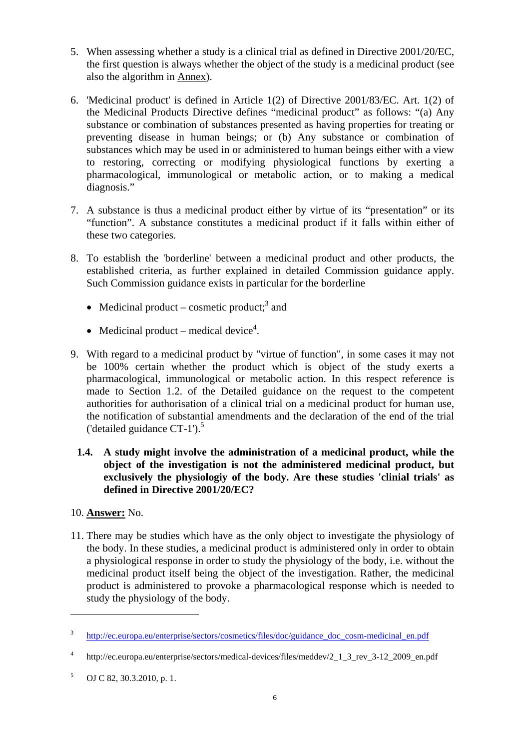- 5. When assessing whether a study is a clinical trial as defined in Directive 2001/20/EC, the first question is always whether the object of the study is a medicinal product (see also the algorithm in Annex).
- 6. 'Medicinal product' is defined in Article 1(2) of Directive 2001/83/EC. Art. 1(2) of the Medicinal Products Directive defines "medicinal product" as follows: "(a) Any substance or combination of substances presented as having properties for treating or preventing disease in human beings; or (b) Any substance or combination of substances which may be used in or administered to human beings either with a view to restoring, correcting or modifying physiological functions by exerting a pharmacological, immunological or metabolic action, or to making a medical diagnosis."
- 7. A substance is thus a medicinal product either by virtue of its "presentation" or its "function". A substance constitutes a medicinal product if it falls within either of these two categories.
- 8. To establish the 'borderline' between a medicinal product and other products, the established criteria, as further explained in detailed Commission guidance apply. Such Commission guidance exists in particular for the borderline
	- Medicinal product cosmetic product;<sup>3</sup> and
	- Medicinal product medical device<sup>4</sup>.
- 9. With regard to a medicinal product by "virtue of function", in some cases it may not be 100% certain whether the product which is object of the study exerts a pharmacological, immunological or metabolic action. In this respect reference is made to Section 1.2. of the Detailed guidance on the request to the competent authorities for authorisation of a clinical trial on a medicinal product for human use, the notification of substantial amendments and the declaration of the end of the trial ('detailed guidance  $CT-1$ ').<sup>5</sup>
	- **1.4. A study might involve the administration of a medicinal product, while the object of the investigation is not the administered medicinal product, but exclusively the physiologiy of the body. Are these studies 'clinial trials' as defined in Directive 2001/20/EC?**
- <span id="page-5-0"></span>10. **Answer:** No.

 $\overline{a}$ 

11. There may be studies which have as the only object to investigate the physiology of the body. In these studies, a medicinal product is administered only in order to obtain a physiological response in order to study the physiology of the body, i.e. without the medicinal product itself being the object of the investigation. Rather, the medicinal product is administered to provoke a pharmacological response which is needed to study the physiology of the body.

<sup>3</sup> [http://ec.europa.eu/enterprise/sectors/cosmetics/files/doc/guidance\\_doc\\_cosm-medicinal\\_en.pdf](http://ec.europa.eu/enterprise/sectors/cosmetics/files/doc/guidance_doc_cosm-medicinal_en.pdf) 

<sup>4</sup> http://ec.europa.eu/enterprise/sectors/medical-devices/files/meddev/2\_1\_3\_rev\_3-12\_2009\_en.pdf

<sup>5</sup> OJ C 82, 30.3.2010, p. 1.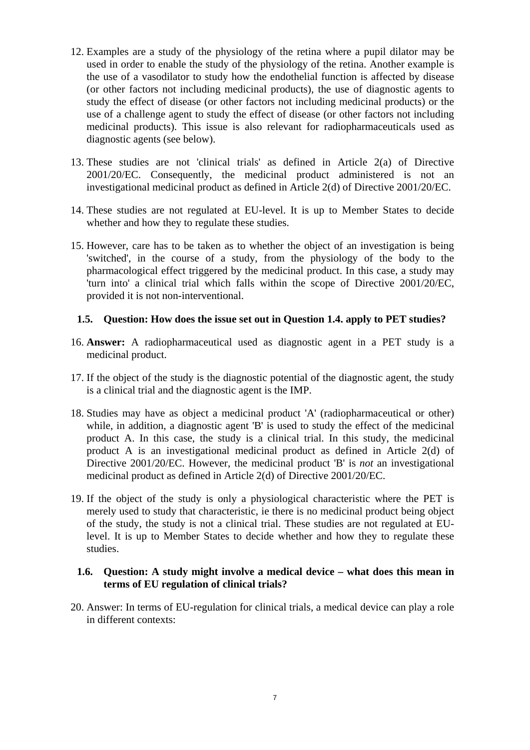- 12. Examples are a study of the physiology of the retina where a pupil dilator may be used in order to enable the study of the physiology of the retina. Another example is the use of a vasodilator to study how the endothelial function is affected by disease (or other factors not including medicinal products), the use of diagnostic agents to study the effect of disease (or other factors not including medicinal products) or the use of a challenge agent to study the effect of disease (or other factors not including medicinal products). This issue is also relevant for radiopharmaceuticals used as diagnostic agents (see below).
- 13. These studies are not 'clinical trials' as defined in Article 2(a) of Directive 2001/20/EC. Consequently, the medicinal product administered is not an investigational medicinal product as defined in Article 2(d) of Directive 2001/20/EC.
- 14. These studies are not regulated at EU-level. It is up to Member States to decide whether and how they to regulate these studies.
- 15. However, care has to be taken as to whether the object of an investigation is being 'switched', in the course of a study, from the physiology of the body to the pharmacological effect triggered by the medicinal product. In this case, a study may 'turn into' a clinical trial which falls within the scope of Directive 2001/20/EC, provided it is not non-interventional.

#### <span id="page-6-0"></span>**1.5. Question: How does the issue set out in Question 1.4. apply to PET studies?**

- 16. **Answer:** A radiopharmaceutical used as diagnostic agent in a PET study is a medicinal product.
- 17. If the object of the study is the diagnostic potential of the diagnostic agent, the study is a clinical trial and the diagnostic agent is the IMP.
- 18. Studies may have as object a medicinal product 'A' (radiopharmaceutical or other) while, in addition, a diagnostic agent 'B' is used to study the effect of the medicinal product A. In this case, the study is a clinical trial. In this study, the medicinal product A is an investigational medicinal product as defined in Article 2(d) of Directive 2001/20/EC. However, the medicinal product 'B' is *not* an investigational medicinal product as defined in Article 2(d) of Directive 2001/20/EC.
- 19. If the object of the study is only a physiological characteristic where the PET is merely used to study that characteristic, ie there is no medicinal product being object of the study, the study is not a clinical trial. These studies are not regulated at EUlevel. It is up to Member States to decide whether and how they to regulate these studies.

### <span id="page-6-1"></span>**1.6. Question: A study might involve a medical device – what does this mean in terms of EU regulation of clinical trials?**

20. Answer: In terms of EU-regulation for clinical trials, a medical device can play a role in different contexts: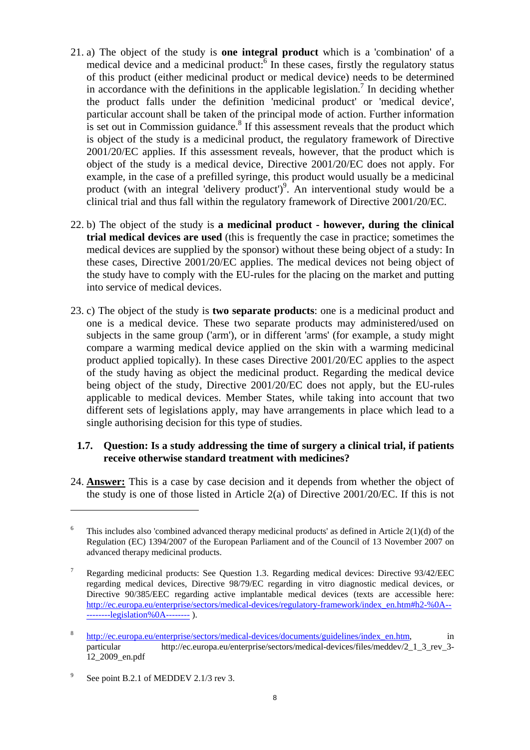- 21. a) The object of the study is **one integral product** which is a 'combination' of a medical device and a medicinal product: $6 \text{ In }$  these cases, firstly the regulatory status of this product (either medicinal product or medical device) needs to be determined in accordance with the definitions in the applicable legislation.<sup>7</sup> In deciding whether the product falls under the definition 'medicinal product' or 'medical device', particular account shall be taken of the principal mode of action. Further information is set out in Commission guidance.<sup>8</sup> If this assessment reveals that the product which is object of the study is a medicinal product, the regulatory framework of Directive 2001/20/EC applies. If this assessment reveals, however, that the product which is object of the study is a medical device, Directive 2001/20/EC does not apply. For example, in the case of a prefilled syringe, this product would usually be a medicinal product (with an integral 'delivery product')<sup>9</sup>. An interventional study would be a clinical trial and thus fall within the regulatory framework of Directive 2001/20/EC.
- 22. b) The object of the study is **a medicinal product however, during the clinical trial medical devices are used** (this is frequently the case in practice; sometimes the medical devices are supplied by the sponsor) without these being object of a study: In these cases, Directive 2001/20/EC applies. The medical devices not being object of the study have to comply with the EU-rules for the placing on the market and putting into service of medical devices.
- 23. c) The object of the study is **two separate products**: one is a medicinal product and one is a medical device. These two separate products may administered/used on subjects in the same group ('arm'), or in different 'arms' (for example, a study might compare a warming medical device applied on the skin with a warming medicinal product applied topically). In these cases Directive 2001/20/EC applies to the aspect of the study having as object the medicinal product. Regarding the medical device being object of the study, Directive 2001/20/EC does not apply, but the EU-rules applicable to medical devices. Member States, while taking into account that two different sets of legislations apply, may have arrangements in place which lead to a single authorising decision for this type of studies.

### <span id="page-7-0"></span>**1.7. Question: Is a study addressing the time of surgery a clinical trial, if patients receive otherwise standard treatment with medicines?**

24. **Answer:** This is a case by case decision and it depends from whether the object of the study is one of those listed in Article 2(a) of Directive 2001/20/EC. If this is not

<sup>6</sup> This includes also 'combined advanced therapy medicinal products' as defined in Article 2(1)(d) of the Regulation (EC) 1394/2007 of the European Parliament and of the Council of 13 November 2007 on advanced therapy medicinal products.

<sup>7</sup> Regarding medicinal products: See Question [1.3.](#page-4-3) Regarding medical devices: Directive 93/42/EEC regarding medical devices, Directive 98/79/EC regarding in vitro diagnostic medical devices, or Directive 90/385/EEC regarding active implantable medical devices (texts are accessible here: [http://ec.europa.eu/enterprise/sectors/medical-devices/regulatory-framework/index\\_en.htm#h2-%0A--](http://ec.europa.eu/enterprise/sectors/medical-devices/regulatory-framework/index_en.htm#h2-%0A----------legislation%0A--------) [--------legislation%0A-------- \)](http://ec.europa.eu/enterprise/sectors/medical-devices/regulatory-framework/index_en.htm#h2-%0A----------legislation%0A--------).

<sup>8</sup> [http://ec.europa.eu/enterprise/sectors/medical-devices/documents/guidelines/index\\_en.htm,](http://ec.europa.eu/enterprise/sectors/medical-devices/documents/guidelines/index_en.htm) in particular http://ec.europa.eu/enterprise/sectors/medical-devices/files/meddev/2\_1\_3\_rev\_3- 12\_2009\_en.pdf

<sup>9</sup> See point B.2.1 of MEDDEV 2.1/3 rev 3.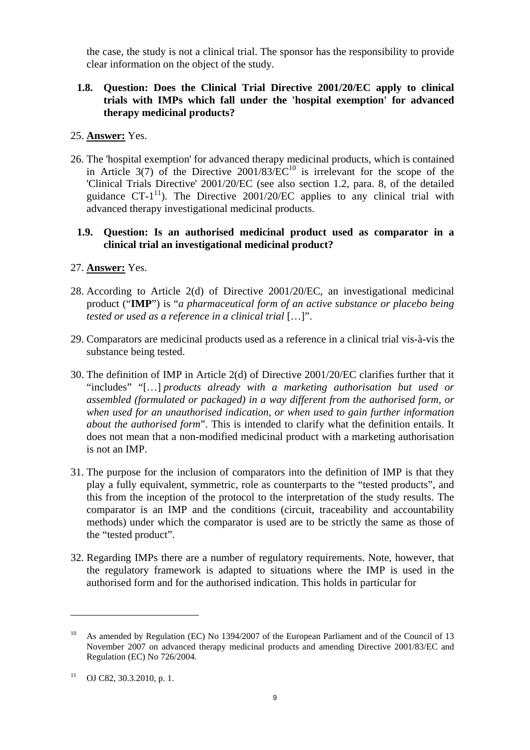the case, the study is not a clinical trial. The sponsor has the responsibility to provide clear information on the object of the study.

## <span id="page-8-0"></span>**1.8. Question: Does the Clinical Trial Directive 2001/20/EC apply to clinical trials with IMPs which fall under the 'hospital exemption' for advanced therapy medicinal products?**

### 25. **Answer:** Yes.

26. The 'hospital exemption' for advanced therapy medicinal products, which is contained in Article 3(7) of the Directive  $2001/83/EC^{10}$  is irrelevant for the scope of the 'Clinical Trials Directive' 2001/20/EC (see also section 1.2, para. 8, of the detailed guidance CT- $1^{11}$ ). The Directive 2001/20/EC applies to any clinical trial with advanced therapy investigational medicinal products.

### <span id="page-8-1"></span>**1.9. Question: Is an authorised medicinal product used as comparator in a clinical trial an investigational medicinal product?**

- 27. **Answer:** Yes.
- 28. According to Article 2(d) of Directive 2001/20/EC, an investigational medicinal product ("**IMP**") is "*a pharmaceutical form of an active substance or placebo being tested or used as a reference in a clinical trial* […]".
- 29. Comparators are medicinal products used as a reference in a clinical trial vis-à-vis the substance being tested.
- 30. The definition of IMP in Article 2(d) of Directive 2001/20/EC clarifies further that it "includes" "[…] *products already with a marketing authorisation but used or assembled (formulated or packaged) in a way different from the authorised form, or when used for an unauthorised indication, or when used to gain further information about the authorised form*". This is intended to clarify what the definition entails. It does not mean that a non-modified medicinal product with a marketing authorisation is not an IMP.
- 31. The purpose for the inclusion of comparators into the definition of IMP is that they play a fully equivalent, symmetric, role as counterparts to the "tested products", and this from the inception of the protocol to the interpretation of the study results. The comparator is an IMP and the conditions (circuit, traceability and accountability methods) under which the comparator is used are to be strictly the same as those of the "tested product".
- 32. Regarding IMPs there are a number of regulatory requirements. Note, however, that the regulatory framework is adapted to situations where the IMP is used in the authorised form and for the authorised indication. This holds in particular for

<sup>&</sup>lt;sup>10</sup> As amended by Regulation (EC) No 1394/2007 of the European Parliament and of the Council of 13 November 2007 on advanced therapy medicinal products and amending Directive 2001/83/EC and Regulation (EC) No 726/2004.

 $11$  OJ C82, 30.3.2010, p. 1.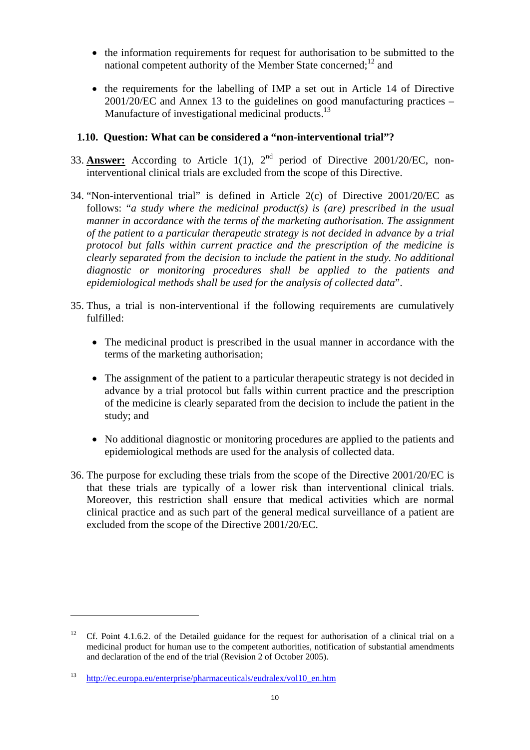- the information requirements for request for authorisation to be submitted to the national competent authority of the Member State concerned: $^{12}$  and
- the requirements for the labelling of IMP a set out in Article 14 of Directive 2001/20/EC and Annex 13 to the guidelines on good manufacturing practices – Manufacture of investigational medicinal products.<sup>13</sup>

### <span id="page-9-0"></span>**1.10. Question: What can be considered a "non-interventional trial"?**

- 33. **Answer:** According to Article 1(1), 2nd period of Directive 2001/20/EC, noninterventional clinical trials are excluded from the scope of this Directive.
- 34. "Non-interventional trial" is defined in Article 2(c) of Directive 2001/20/EC as follows: "*a study where the medicinal product(s) is (are) prescribed in the usual manner in accordance with the terms of the marketing authorisation. The assignment of the patient to a particular therapeutic strategy is not decided in advance by a trial protocol but falls within current practice and the prescription of the medicine is clearly separated from the decision to include the patient in the study. No additional diagnostic or monitoring procedures shall be applied to the patients and epidemiological methods shall be used for the analysis of collected data*".
- 35. Thus, a trial is non-interventional if the following requirements are cumulatively fulfilled:
	- The medicinal product is prescribed in the usual manner in accordance with the terms of the marketing authorisation;
	- The assignment of the patient to a particular therapeutic strategy is not decided in advance by a trial protocol but falls within current practice and the prescription of the medicine is clearly separated from the decision to include the patient in the study; and
	- No additional diagnostic or monitoring procedures are applied to the patients and epidemiological methods are used for the analysis of collected data.
- 36. The purpose for excluding these trials from the scope of the Directive 2001/20/EC is that these trials are typically of a lower risk than interventional clinical trials. Moreover, this restriction shall ensure that medical activities which are normal clinical practice and as such part of the general medical surveillance of a patient are excluded from the scope of the Directive 2001/20/EC.

<sup>&</sup>lt;sup>12</sup> Cf. Point 4.1.6.2. of the Detailed guidance for the request for authorisation of a clinical trial on a medicinal product for human use to the competent authorities, notification of substantial amendments and declaration of the end of the trial (Revision 2 of October 2005).

[<sup>13</sup> http://ec.europa.eu/enterprise/pharmaceuticals/eudralex/vol10\\_en.htm](http://ec.europa.eu/enterprise/pharmaceuticals/eudralex/vol10_en.htm)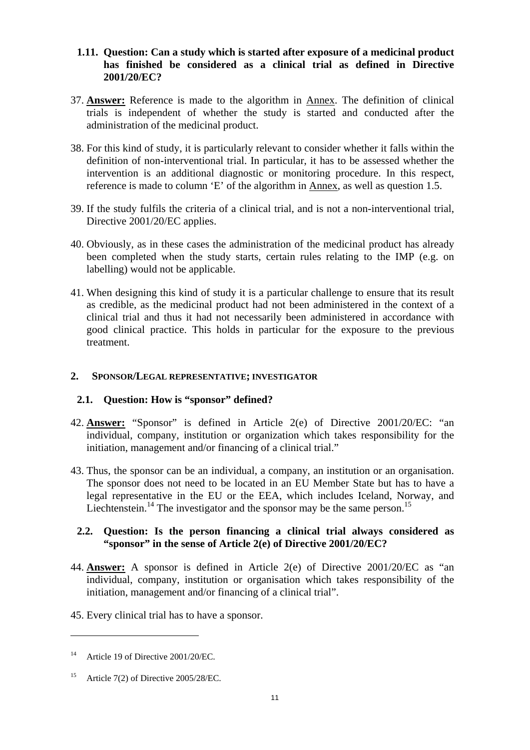### <span id="page-10-0"></span>**1.11. Question: Can a study which is started after exposure of a medicinal product has finished be considered as a clinical trial as defined in Directive 2001/20/EC?**

- 37. **Answer:** Reference is made to the algorithm in Annex. The definition of clinical trials is independent of whether the study is started and conducted after the administration of the medicinal product.
- 38. For this kind of study, it is particularly relevant to consider whether it falls within the definition of non-interventional trial. In particular, it has to be assessed whether the intervention is an additional diagnostic or monitoring procedure. In this respect, reference is made to column 'E' of the algorithm in Annex, as well as question 1.5.
- 39. If the study fulfils the criteria of a clinical trial, and is not a non-interventional trial, Directive 2001/20/EC applies.
- 40. Obviously, as in these cases the administration of the medicinal product has already been completed when the study starts, certain rules relating to the IMP (e.g. on labelling) would not be applicable.
- 41. When designing this kind of study it is a particular challenge to ensure that its result as credible, as the medicinal product had not been administered in the context of a clinical trial and thus it had not necessarily been administered in accordance with good clinical practice. This holds in particular for the exposure to the previous treatment.

### <span id="page-10-2"></span><span id="page-10-1"></span>**2. SPONSOR/LEGAL REPRESENTATIVE; INVESTIGATOR**

#### **2.1. Question: How is "sponsor" defined?**

- 42. **Answer:** "Sponsor" is defined in Article 2(e) of Directive 2001/20/EC: "an individual, company, institution or organization which takes responsibility for the initiation, management and/or financing of a clinical trial."
- 43. Thus, the sponsor can be an individual, a company, an institution or an organisation. The sponsor does not need to be located in an EU Member State but has to have a legal representative in the EU or the EEA, which includes Iceland, Norway, and Liechtenstein.<sup>14</sup> The investigator and the sponsor may be the same person.<sup>15</sup>

### <span id="page-10-3"></span>**2.2. Question: Is the person financing a clinical trial always considered as "sponsor" in the sense of Article 2(e) of Directive 2001/20/EC?**

- 44. **Answer:** A sponsor is defined in Article 2(e) of Directive 2001/20/EC as "an individual, company, institution or organisation which takes responsibility of the initiation, management and/or financing of a clinical trial".
- 45. Every clinical trial has to have a sponsor.

<sup>&</sup>lt;sup>14</sup> Article 19 of Directive 2001/20/EC.

<sup>&</sup>lt;sup>15</sup> Article 7(2) of Directive 2005/28/EC.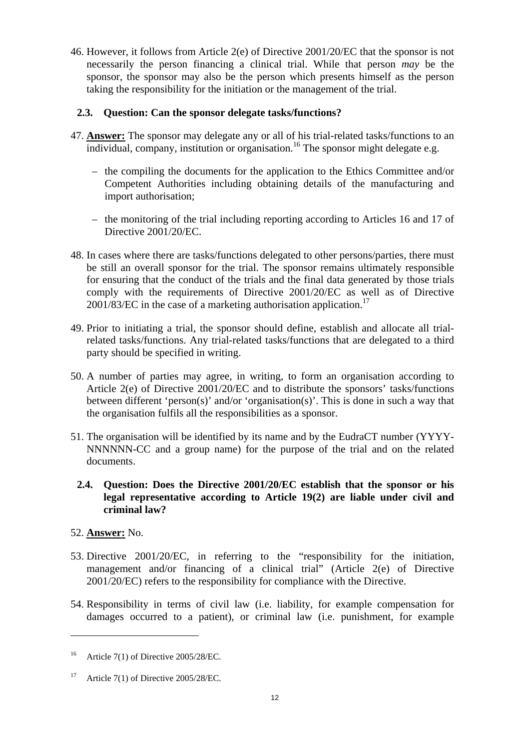46. However, it follows from Article 2(e) of Directive 2001/20/EC that the sponsor is not necessarily the person financing a clinical trial. While that person *may* be the sponsor, the sponsor may also be the person which presents himself as the person taking the responsibility for the initiation or the management of the trial.

## <span id="page-11-0"></span>**2.3. Question: Can the sponsor delegate tasks/functions?**

- 47. **Answer:** The sponsor may delegate any or all of his trial-related tasks/functions to an  $\overline{\text{individual}}$ , company, institution or organisation.<sup>16</sup> The sponsor might delegate e.g.
	- the compiling the documents for the application to the Ethics Committee and/or Competent Authorities including obtaining details of the manufacturing and import authorisation;
	- the monitoring of the trial including reporting according to Articles 16 and 17 of Directive 2001/20/EC.
- 48. In cases where there are tasks/functions delegated to other persons/parties, there must be still an overall sponsor for the trial. The sponsor remains ultimately responsible for ensuring that the conduct of the trials and the final data generated by those trials comply with the requirements of Directive 2001/20/EC as well as of Directive  $2001/83/EC$  in the case of a marketing authorisation application.<sup>17</sup>
- 49. Prior to initiating a trial, the sponsor should define, establish and allocate all trialrelated tasks/functions. Any trial-related tasks/functions that are delegated to a third party should be specified in writing.
- 50. A number of parties may agree, in writing, to form an organisation according to Article 2(e) of Directive 2001/20/EC and to distribute the sponsors' tasks/functions between different 'person(s)' and/or 'organisation(s)'. This is done in such a way that the organisation fulfils all the responsibilities as a sponsor.
- 51. The organisation will be identified by its name and by the EudraCT number (YYYY-NNNNNN-CC and a group name) for the purpose of the trial and on the related documents.
- <span id="page-11-1"></span>**2.4. Question: Does the Directive 2001/20/EC establish that the sponsor or his legal representative according to Article 19(2) are liable under civil and criminal law?**

#### 52. **Answer:** No.

- 53. Directive 2001/20/EC, in referring to the "responsibility for the initiation, management and/or financing of a clinical trial" (Article 2(e) of Directive 2001/20/EC) refers to the responsibility for compliance with the Directive.
- 54. Responsibility in terms of civil law (i.e. liability, for example compensation for damages occurred to a patient), or criminal law (i.e. punishment, for example

<sup>&</sup>lt;sup>16</sup> Article 7(1) of Directive 2005/28/EC.

<sup>&</sup>lt;sup>17</sup> Article 7(1) of Directive 2005/28/EC.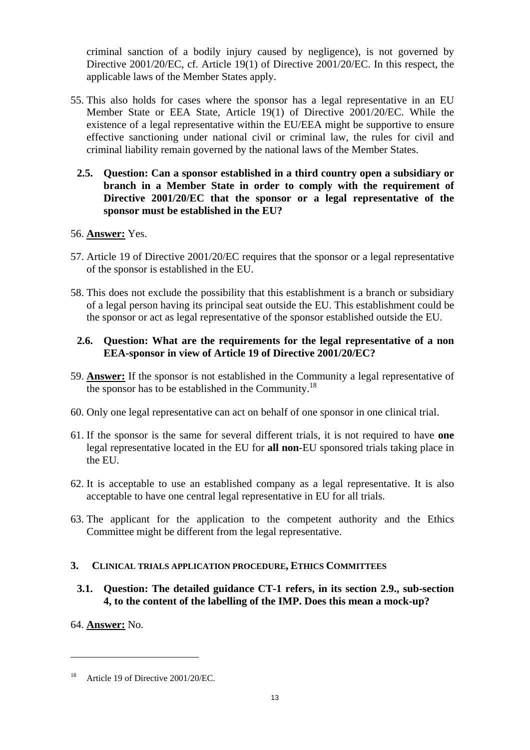criminal sanction of a bodily injury caused by negligence), is not governed by Directive 2001/20/EC, cf. Article 19(1) of Directive 2001/20/EC. In this respect, the applicable laws of the Member States apply.

- <span id="page-12-0"></span>55. This also holds for cases where the sponsor has a legal representative in an EU Member State or EEA State, Article 19(1) of Directive 2001/20/EC. While the existence of a legal representative within the EU/EEA might be supportive to ensure effective sanctioning under national civil or criminal law, the rules for civil and criminal liability remain governed by the national laws of the Member States.
	- **2.5. Question: Can a sponsor established in a third country open a subsidiary or branch in a Member State in order to comply with the requirement of Directive 2001/20/EC that the sponsor or a legal representative of the sponsor must be established in the EU?**

## 56. **Answer:** Yes.

- 57. Article 19 of Directive 2001/20/EC requires that the sponsor or a legal representative of the sponsor is established in the EU.
- 58. This does not exclude the possibility that this establishment is a branch or subsidiary of a legal person having its principal seat outside the EU. This establishment could be the sponsor or act as legal representative of the sponsor established outside the EU.

#### <span id="page-12-1"></span>**2.6. Question: What are the requirements for the legal representative of a non EEA-sponsor in view of Article 19 of Directive 2001/20/EC?**

- 59. **Answer:** If the sponsor is not established in the Community a legal representative of the sponsor has to be established in the Community.<sup>18</sup>
- 60. Only one legal representative can act on behalf of one sponsor in one clinical trial.
- 61. If the sponsor is the same for several different trials, it is not required to have **one**  legal representative located in the EU for **all non**-EU sponsored trials taking place in the EU.
- 62. It is acceptable to use an established company as a legal representative. It is also acceptable to have one central legal representative in EU for all trials.
- 63. The applicant for the application to the competent authority and the Ethics Committee might be different from the legal representative.

#### <span id="page-12-3"></span><span id="page-12-2"></span>**3. CLINICAL TRIALS APPLICATION PROCEDURE, ETHICS COMMITTEES**

**3.1. Question: The detailed guidance CT-1 refers, in its section 2.9., sub-section 4, to the content of the labelling of the IMP. Does this mean a mock-up?** 

64. **Answer:** No.

<sup>&</sup>lt;sup>18</sup> Article 19 of Directive 2001/20/EC.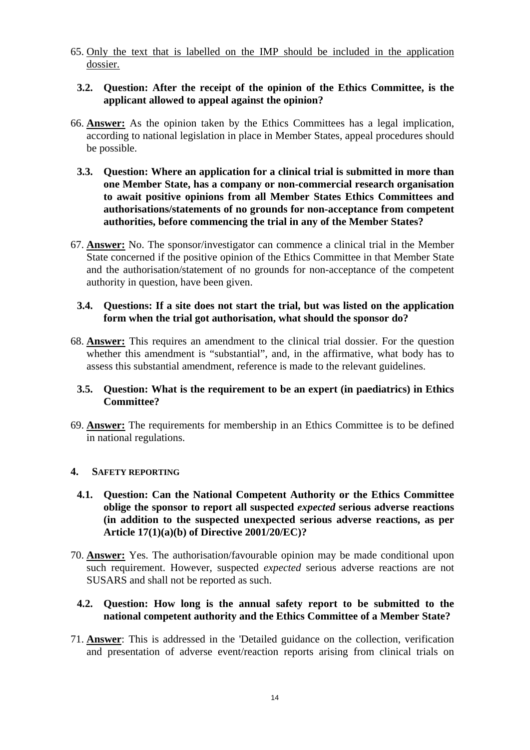<span id="page-13-0"></span>65. Only the text that is labelled on the IMP should be included in the application dossier.

### **3.2. Question: After the receipt of the opinion of the Ethics Committee, is the applicant allowed to appeal against the opinion?**

- <span id="page-13-1"></span>66. **Answer:** As the opinion taken by the Ethics Committees has a legal implication, according to national legislation in place in Member States, appeal procedures should be possible.
	- **3.3. Question: Where an application for a clinical trial is submitted in more than one Member State, has a company or non-commercial research organisation to await positive opinions from all Member States Ethics Committees and authorisations/statements of no grounds for non-acceptance from competent authorities, before commencing the trial in any of the Member States?**
- 67. **Answer:** No. The sponsor/investigator can commence a clinical trial in the Member State concerned if the positive opinion of the Ethics Committee in that Member State and the authorisation/statement of no grounds for non-acceptance of the competent authority in question, have been given.

### <span id="page-13-2"></span>**3.4. Questions: If a site does not start the trial, but was listed on the application form when the trial got authorisation, what should the sponsor do?**

68. **Answer:** This requires an amendment to the clinical trial dossier. For the question whether this amendment is "substantial", and, in the affirmative, what body has to assess this substantial amendment, reference is made to the relevant guidelines.

### <span id="page-13-3"></span>**3.5. Question: What is the requirement to be an expert (in paediatrics) in Ethics Committee?**

69. **Answer:** The requirements for membership in an Ethics Committee is to be defined in national regulations.

## <span id="page-13-5"></span><span id="page-13-4"></span>**4. SAFETY REPORTING**

- **4.1. Question: Can the National Competent Authority or the Ethics Committee oblige the sponsor to report all suspected** *expected* **serious adverse reactions (in addition to the suspected unexpected serious adverse reactions, as per Article 17(1)(a)(b) of Directive 2001/20/EC)?**
- 70. **Answer:** Yes. The authorisation/favourable opinion may be made conditional upon such requirement. However, suspected *expected* serious adverse reactions are not SUSARS and shall not be reported as such.

### <span id="page-13-6"></span>**4.2. Question: How long is the annual safety report to be submitted to the national competent authority and the Ethics Committee of a Member State?**

71. **Answer**: This is addressed in the 'Detailed guidance on the collection, verification and presentation of adverse event/reaction reports arising from clinical trials on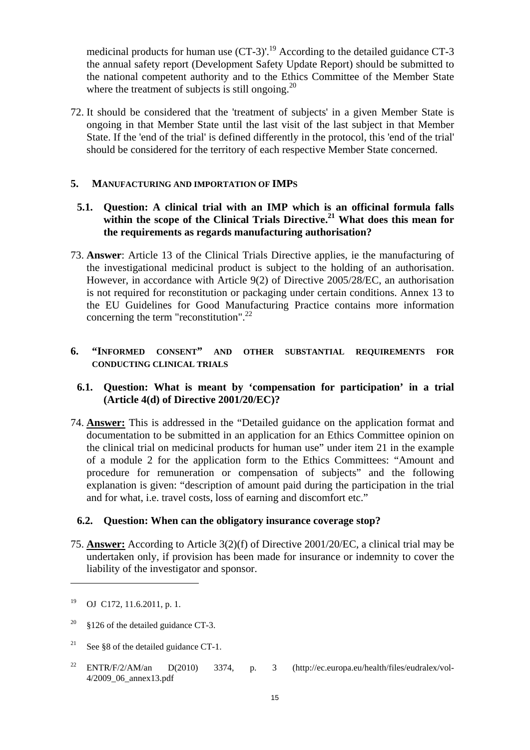medicinal products for human use  $(CT-3)'$ .<sup>19</sup> According to the detailed guidance  $CT-3$ the annual safety report (Development Safety Update Report) should be submitted to the national competent authority and to the Ethics Committee of the Member State where the treatment of subjects is still ongoing.<sup>20</sup>

72. It should be considered that the 'treatment of subjects' in a given Member State is ongoing in that Member State until the last visit of the last subject in that Member State. If the 'end of the trial' is defined differently in the protocol, this 'end of the trial' should be considered for the territory of each respective Member State concerned.

### <span id="page-14-1"></span><span id="page-14-0"></span>**5. MANUFACTURING AND IMPORTATION OF IMPS**

## **5.1. Question: A clinical trial with an IMP which is an officinal formula falls**  within the scope of the Clinical Trials Directive.<sup>21</sup> What does this mean for **the requirements as regards manufacturing authorisation?**

73. **Answer**: Article 13 of the Clinical Trials Directive applies, ie the manufacturing of the investigational medicinal product is subject to the holding of an authorisation. However, in accordance with Article 9(2) of Directive 2005/28/EC, an authorisation is not required for reconstitution or packaging under certain conditions. Annex 13 to the EU Guidelines for Good Manufacturing Practice contains more information concerning the term "reconstitution".<sup>22</sup>

### <span id="page-14-3"></span><span id="page-14-2"></span>**6. "INFORMED CONSENT" AND OTHER SUBSTANTIAL REQUIREMENTS FOR CONDUCTING CLINICAL TRIALS**

### **6.1. Question: What is meant by 'compensation for participation' in a trial (Article 4(d) of Directive 2001/20/EC)?**

74. **Answer:** This is addressed in the "Detailed guidance on the application format and documentation to be submitted in an application for an Ethics Committee opinion on the clinical trial on medicinal products for human use" under item 21 in the example of a module 2 for the application form to the Ethics Committees: "Amount and procedure for remuneration or compensation of subjects" and the following explanation is given: "description of amount paid during the participation in the trial and for what, i.e. travel costs, loss of earning and discomfort etc."

#### <span id="page-14-4"></span>**6.2. Question: When can the obligatory insurance coverage stop?**

75. **Answer:** According to Article 3(2)(f) of Directive 2001/20/EC, a clinical trial may be undertaken only, if provision has been made for insurance or indemnity to cover the liability of the investigator and sponsor.

 $\overline{a}$ 

22 ENTR/F/2/AM/an D(2010) 3374, p. 3 (http://ec.europa.eu/health/files/eudralex/vol-4/2009\_06\_annex13.pdf

<sup>19</sup> OJ C172, 11.6.2011, p. 1.

<sup>&</sup>lt;sup>20</sup> §126 of the detailed guidance CT-3.

<sup>&</sup>lt;sup>21</sup> See §8 of the detailed guidance CT-1.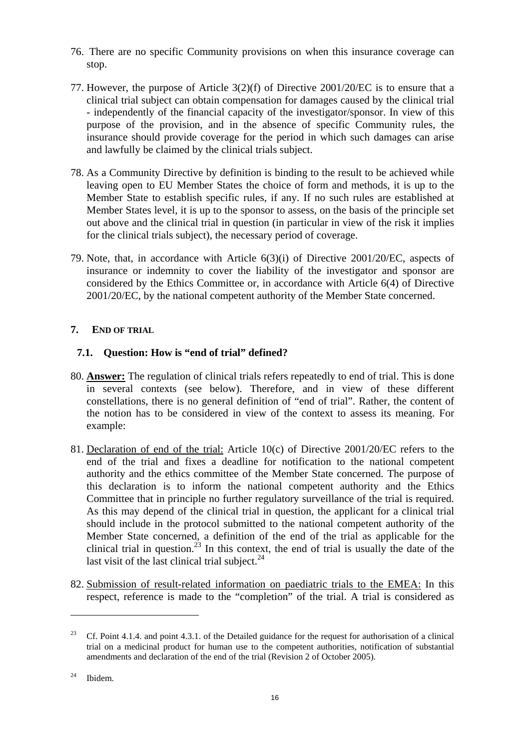- 76. There are no specific Community provisions on when this insurance coverage can stop.
- 77. However, the purpose of Article 3(2)(f) of Directive 2001/20/EC is to ensure that a clinical trial subject can obtain compensation for damages caused by the clinical trial - independently of the financial capacity of the investigator/sponsor. In view of this purpose of the provision, and in the absence of specific Community rules, the insurance should provide coverage for the period in which such damages can arise and lawfully be claimed by the clinical trials subject.
- 78. As a Community Directive by definition is binding to the result to be achieved while leaving open to EU Member States the choice of form and methods, it is up to the Member State to establish specific rules, if any. If no such rules are established at Member States level, it is up to the sponsor to assess, on the basis of the principle set out above and the clinical trial in question (in particular in view of the risk it implies for the clinical trials subject), the necessary period of coverage.
- 79. Note, that, in accordance with Article 6(3)(i) of Directive 2001/20/EC, aspects of insurance or indemnity to cover the liability of the investigator and sponsor are considered by the Ethics Committee or, in accordance with Article 6(4) of Directive 2001/20/EC, by the national competent authority of the Member State concerned.

## <span id="page-15-1"></span><span id="page-15-0"></span>**7. END OF TRIAL**

## **7.1. Question: How is "end of trial" defined?**

- 80. **Answer:** The regulation of clinical trials refers repeatedly to end of trial. This is done in several contexts (see below). Therefore, and in view of these different constellations, there is no general definition of "end of trial". Rather, the content of the notion has to be considered in view of the context to assess its meaning. For example:
- 81. Declaration of end of the trial: Article 10(c) of Directive 2001/20/EC refers to the end of the trial and fixes a deadline for notification to the national competent authority and the ethics committee of the Member State concerned. The purpose of this declaration is to inform the national competent authority and the Ethics Committee that in principle no further regulatory surveillance of the trial is required. As this may depend of the clinical trial in question, the applicant for a clinical trial should include in the protocol submitted to the national competent authority of the Member State concerned, a definition of the end of the trial as applicable for the clinical trial in question.<sup>23</sup> In this context, the end of trial is usually the date of the last visit of the last clinical trial subject. $24$
- 82. Submission of result-related information on paediatric trials to the EMEA: In this respect, reference is made to the "completion" of the trial. A trial is considered as

<sup>&</sup>lt;sup>23</sup> Cf. Point 4.1.4. and point 4.3.1. of the Detailed guidance for the request for authorisation of a clinical trial on a medicinal product for human use to the competent authorities, notification of substantial amendments and declaration of the end of the trial (Revision 2 of October 2005).

<sup>24</sup> Ibidem.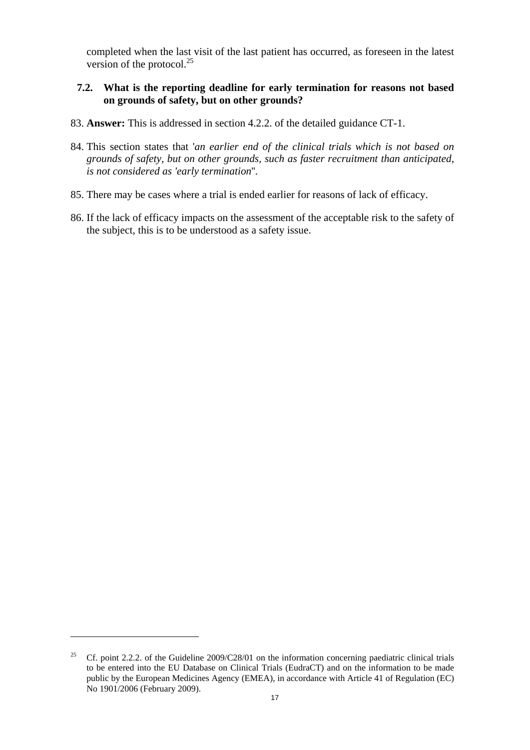completed when the last visit of the last patient has occurred, as foreseen in the latest version of the protocol. $^{25}$ 

#### <span id="page-16-0"></span>**7.2. What is the reporting deadline for early termination for reasons not based on grounds of safety, but on other grounds?**

- 83. **Answer:** This is addressed in section 4.2.2. of the detailed guidance CT-1.
- 84. This section states that '*an earlier end of the clinical trials which is not based on grounds of safety, but on other grounds, such as faster recruitment than anticipated, is not considered as 'early termination*''.
- 85. There may be cases where a trial is ended earlier for reasons of lack of efficacy.
- 86. If the lack of efficacy impacts on the assessment of the acceptable risk to the safety of the subject, this is to be understood as a safety issue.

<sup>&</sup>lt;sup>25</sup> Cf. point 2.2.2. of the Guideline  $2009/C28/01$  on the information concerning paediatric clinical trials to be entered into the EU Database on Clinical Trials (EudraCT) and on the information to be made public by the European Medicines Agency (EMEA), in accordance with Article 41 of Regulation (EC) No 1901/2006 (February 2009).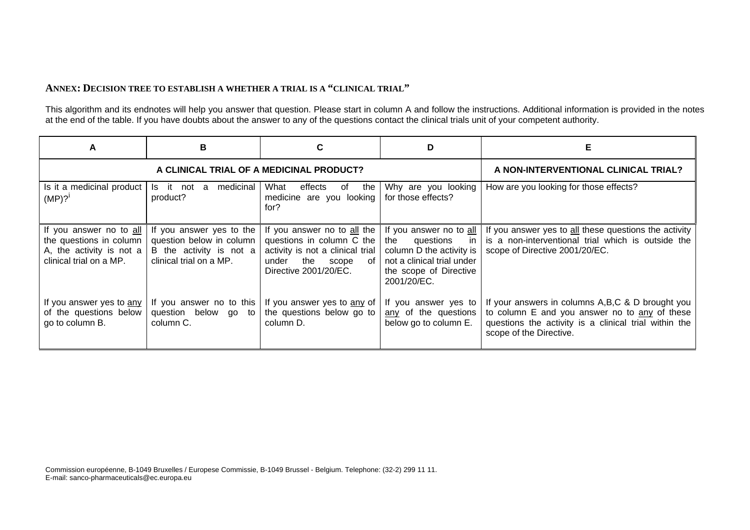#### **ANNEX: DECISION TREE TO ESTABLISH A WHETHER A TRIAL IS A "CLINICAL TRIAL"**

This algorithm and its endnotes will help you answer that question. Please start in column A and follow the instructions. Additional information is provided in the notes at the end of the table. If you have doubts about the answer to any of the questions contact the clinical trials unit of your competent authority.

<span id="page-17-0"></span>

| A                                                                                                         | B                                                                                                          |                                                                                                                                      | D                                                                                                   | Е                                                                                                                                                                                                                 |
|-----------------------------------------------------------------------------------------------------------|------------------------------------------------------------------------------------------------------------|--------------------------------------------------------------------------------------------------------------------------------------|-----------------------------------------------------------------------------------------------------|-------------------------------------------------------------------------------------------------------------------------------------------------------------------------------------------------------------------|
|                                                                                                           | A CLINICAL TRIAL OF A MEDICINAL PRODUCT?                                                                   | A NON-INTERVENTIONAL CLINICAL TRIAL?                                                                                                 |                                                                                                     |                                                                                                                                                                                                                   |
| Is it a medicinal product<br>(MP)? <sup>1</sup>                                                           | Is it not a medicinal<br>product?                                                                          | What<br>effects<br>the I<br>of<br>medicine are you looking<br>for?                                                                   | Why are you looking<br>for those effects?                                                           | How are you looking for those effects?                                                                                                                                                                            |
| If you answer no to all<br>the questions in column<br>A, the activity is not a<br>clinical trial on a MP. | If you answer yes to the<br>question below in column<br>B the activity is not a<br>clinical trial on a MP. | questions in column C the $ $ the questions in<br>activity is not a clinical trial<br>the scope of<br>under<br>Directive 2001/20/EC. | column D the activity is $ $<br>not a clinical trial under<br>the scope of Directive<br>2001/20/EC. | If you answer no to all the $\vert$ If you answer no to all $\vert$ If you answer yes to all these questions the activity<br>is a non-interventional trial which is outside the<br>scope of Directive 2001/20/EC. |
| If you answer yes to any<br>of the questions below<br>go to column B.                                     | If you answer no to this<br>question below go to<br>column C.                                              | If you answer yes to $\frac{any}{n}$ of   If you answer yes to<br>the questions below go to<br>column D.                             | any of the questions<br>below go to column E.                                                       | If your answers in columns A, B, C & D brought you<br>to column E and you answer no to any of these<br>questions the activity is a clinical trial within the<br>scope of the Directive.                           |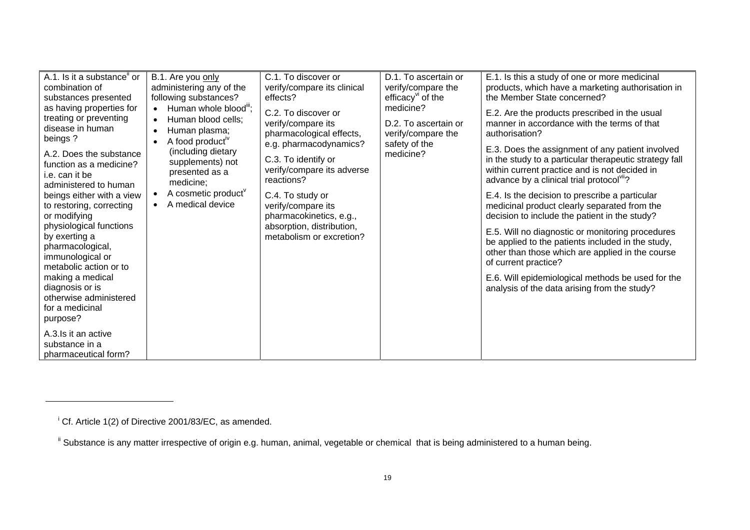| A.1. Is it a substance" or<br>combination of<br>substances presented<br>as having properties for<br>treating or preventing<br>disease in human<br>beings?<br>A.2. Does the substance<br>function as a medicine?<br>i.e. can it be<br>administered to human<br>beings either with a view<br>to restoring, correcting<br>or modifying<br>physiological functions<br>by exerting a<br>pharmacological,<br>immunological or<br>metabolic action or to<br>making a medical<br>diagnosis or is<br>otherwise administered<br>for a medicinal<br>purpose?<br>A.3. Is it an active | B.1. Are you only<br>administering any of the<br>following substances?<br>Human whole blood";<br>$\bullet$<br>Human blood cells;<br>$\bullet$<br>Human plasma;<br>$\bullet$<br>A food product <sup>"</sup><br>$\bullet$<br>(including dietary<br>supplements) not<br>presented as a<br>medicine;<br>A cosmetic product <sup>v</sup><br>A medical device | C.1. To discover or<br>verify/compare its clinical<br>effects?<br>C.2. To discover or<br>verify/compare its<br>pharmacological effects,<br>e.g. pharmacodynamics?<br>C.3. To identify or<br>verify/compare its adverse<br>reactions?<br>C.4. To study or<br>verify/compare its<br>pharmacokinetics, e.g.,<br>absorption, distribution,<br>metabolism or excretion? | D.1. To ascertain or<br>verify/compare the<br>efficacy <sup>vi</sup> of the<br>medicine?<br>D.2. To ascertain or<br>verify/compare the<br>safety of the<br>medicine? | E.1. Is this a study of one or more medicinal<br>products, which have a marketing authorisation in<br>the Member State concerned?<br>E.2. Are the products prescribed in the usual<br>manner in accordance with the terms of that<br>authorisation?<br>E.3. Does the assignment of any patient involved<br>in the study to a particular therapeutic strategy fall<br>within current practice and is not decided in<br>advance by a clinical trial protocol"?<br>E.4. Is the decision to prescribe a particular<br>medicinal product clearly separated from the<br>decision to include the patient in the study?<br>E.5. Will no diagnostic or monitoring procedures<br>be applied to the patients included in the study,<br>other than those which are applied in the course<br>of current practice?<br>E.6. Will epidemiological methods be used for the<br>analysis of the data arising from the study? |
|---------------------------------------------------------------------------------------------------------------------------------------------------------------------------------------------------------------------------------------------------------------------------------------------------------------------------------------------------------------------------------------------------------------------------------------------------------------------------------------------------------------------------------------------------------------------------|---------------------------------------------------------------------------------------------------------------------------------------------------------------------------------------------------------------------------------------------------------------------------------------------------------------------------------------------------------|--------------------------------------------------------------------------------------------------------------------------------------------------------------------------------------------------------------------------------------------------------------------------------------------------------------------------------------------------------------------|----------------------------------------------------------------------------------------------------------------------------------------------------------------------|-----------------------------------------------------------------------------------------------------------------------------------------------------------------------------------------------------------------------------------------------------------------------------------------------------------------------------------------------------------------------------------------------------------------------------------------------------------------------------------------------------------------------------------------------------------------------------------------------------------------------------------------------------------------------------------------------------------------------------------------------------------------------------------------------------------------------------------------------------------------------------------------------------------|
| substance in a<br>pharmaceutical form?                                                                                                                                                                                                                                                                                                                                                                                                                                                                                                                                    |                                                                                                                                                                                                                                                                                                                                                         |                                                                                                                                                                                                                                                                                                                                                                    |                                                                                                                                                                      |                                                                                                                                                                                                                                                                                                                                                                                                                                                                                                                                                                                                                                                                                                                                                                                                                                                                                                           |

<sup>&</sup>lt;sup>i</sup> Cf. Article 1(2) of Directive 2001/83/EC, as amended.

<sup>&</sup>lt;sup>ii</sup> Substance is any matter irrespective of origin e.g. human, animal, vegetable or chemical that is being administered to a human being.